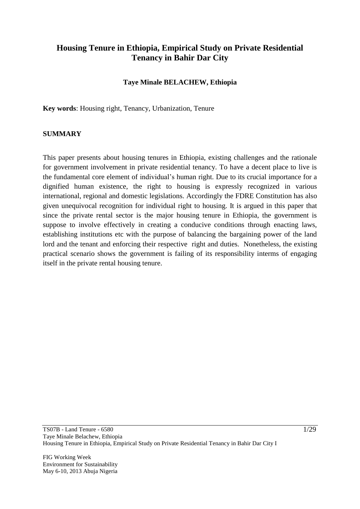## **Housing Tenure in Ethiopia, Empirical Study on Private Residential Tenancy in Bahir Dar City**

### **Taye Minale BELACHEW, Ethiopia**

**Key words**: Housing right, Tenancy, Urbanization, Tenure

#### **SUMMARY**

This paper presents about housing tenures in Ethiopia, existing challenges and the rationale for government involvement in private residential tenancy. To have a decent place to live is the fundamental core element of individual"s human right. Due to its crucial importance for a dignified human existence, the right to housing is expressly recognized in various international, regional and domestic legislations. Accordingly the FDRE Constitution has also given unequivocal recognition for individual right to housing. It is argued in this paper that since the private rental sector is the major housing tenure in Ethiopia, the government is suppose to involve effectively in creating a conducive conditions through enacting laws, establishing institutions etc with the purpose of balancing the bargaining power of the land lord and the tenant and enforcing their respective right and duties. Nonetheless, the existing practical scenario shows the government is failing of its responsibility interms of engaging itself in the private rental housing tenure.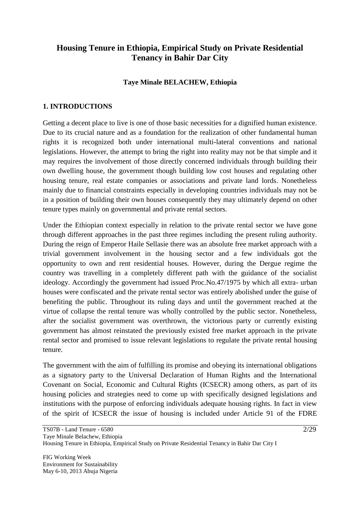## **Housing Tenure in Ethiopia, Empirical Study on Private Residential Tenancy in Bahir Dar City**

### **Taye Minale BELACHEW, Ethiopia**

#### **1. INTRODUCTIONS**

Getting a decent place to live is one of those basic necessities for a dignified human existence. Due to its crucial nature and as a foundation for the realization of other fundamental human rights it is recognized both under international multi-lateral conventions and national legislations. However, the attempt to bring the right into reality may not be that simple and it may requires the involvement of those directly concerned individuals through building their own dwelling house, the government though building low cost houses and regulating other housing tenure, real estate companies or associations and private land lords. Nonetheless mainly due to financial constraints especially in developing countries individuals may not be in a position of building their own houses consequently they may ultimately depend on other tenure types mainly on governmental and private rental sectors.

Under the Ethiopian context especially in relation to the private rental sector we have gone through different approaches in the past three regimes including the present ruling authority. During the reign of Emperor Haile Sellasie there was an absolute free market approach with a trivial government involvement in the housing sector and a few individuals got the opportunity to own and rent residential houses. However, during the Dergue regime the country was travelling in a completely different path with the guidance of the socialist ideology. Accordingly the government had issued Proc.No.47/1975 by which all extra- urban houses were confiscated and the private rental sector was entirely abolished under the guise of benefiting the public. Throughout its ruling days and until the government reached at the virtue of collapse the rental tenure was wholly controlled by the public sector. Nonetheless, after the socialist government was overthrown, the victorious party or currently existing government has almost reinstated the previously existed free market approach in the private rental sector and promised to issue relevant legislations to regulate the private rental housing tenure.

The government with the aim of fulfilling its promise and obeying its international obligations as a signatory party to the Universal Declaration of Human Rights and the International Covenant on Social, Economic and Cultural Rights (ICSECR) among others, as part of its housing policies and strategies need to come up with specifically designed legislations and institutions with the purpose of enforcing individuals adequate housing rights. In fact in view of the spirit of ICSECR the issue of housing is included under Article 91 of the FDRE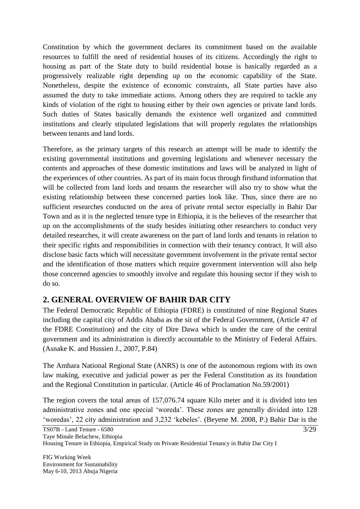Constitution by which the government declares its commitment based on the available resources to fulfill the need of residential houses of its citizens. Accordingly the right to housing as part of the State duty to build residential house is basically regarded as a progressively realizable right depending up on the economic capability of the State. Nonetheless, despite the existence of economic constraints, all State parties have also assumed the duty to take immediate actions. Among others they are required to tackle any kinds of violation of the right to housing either by their own agencies or private land lords. Such duties of States basically demands the existence well organized and committed institutions and clearly stipulated legislations that will properly regulates the relationships between tenants and land lords.

Therefore, as the primary targets of this research an attempt will be made to identify the existing governmental institutions and governing legislations and whenever necessary the contents and approaches of these domestic institutions and laws will be analyzed in light of the experiences of other countries. As part of its main focus through firsthand information that will be collected from land lords and tenants the researcher will also try to show what the existing relationship between these concerned parties look like. Thus, since there are no sufficient researches conducted on the area of private rental sector especially in Bahir Dar Town and as it is the neglected tenure type in Ethiopia, it is the believes of the researcher that up on the accomplishments of the study besides initiating other researchers to conduct very detailed researches, it will create awareness on the part of land lords and tenants in relation to their specific rights and responsibilities in connection with their tenancy contract. It will also disclose basic facts which will necessitate government involvement in the private rental sector and the identification of those matters which require government intervention will also help those concerned agencies to smoothly involve and regulate this housing sector if they wish to do so.

## **2. GENERAL OVERVIEW OF BAHIR DAR CITY**

The Federal Democratic Republic of Ethiopia (FDRE) is constituted of nine Regional States including the capital city of Addis Ababa as the sit of the Federal Government, (Article 47 of the FDRE Constitution) and the city of Dire Dawa which is under the care of the central government and its administration is directly accountable to the Ministry of Federal Affairs. (Asnake K. and Hussien J., 2007, P.84)

The Amhara National Regional State (ANRS) is one of the autonomous regions with its own law making, executive and judicial power as per the Federal Constitution as its foundation and the Regional Constitution in particular. (Article 46 of Proclamation No.59/2001)

The region covers the total areas of 157,076.74 square Kilo meter and it is divided into ten administrative zones and one special "woreda". These zones are generally divided into 128 'woredas', 22 city administration and 3,232 'kebeles'. (Beyene M. 2008, P.) Bahir Dar is the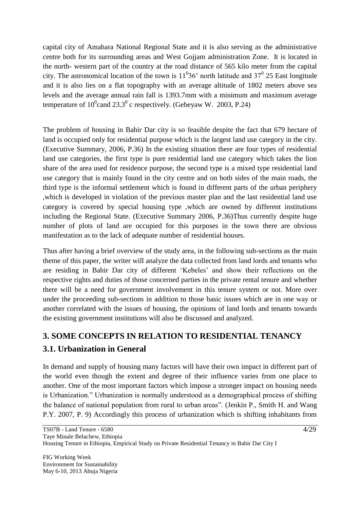capital city of Amahara National Regional State and it is also serving as the administrative centre both for its surrounding areas and West Gojjam administration Zone. It is located in the north- western part of the country at the road distance of 565 kilo meter from the capital city. The astronomical location of the town is  $11^036'$  north latitude and  $37^0$  25 East longitude and it is also lies on a flat topography with an average altitude of 1802 meters above sea levels and the average annual rain fall is 1393.7mm with a minimum and maximum average temperature of  $10^0$ cand  $23.3^0$  c respectively. (Gebeyaw W. 2003, P.24)

The problem of housing in Bahir Dar city is so feasible despite the fact that 679 hectare of land is occupied only for residential purpose which is the largest land use category in the city. (Executive Summary, 2006, P.36) In the existing situation there are four types of residential land use categories, the first type is pure residential land use category which takes the lion share of the area used for residence purpose, the second type is a mixed type residential land use category that is mainly found in the city centre and on both sides of the main roads, the third type is the informal settlement which is found in different parts of the urban periphery ,which is developed in violation of the previous master plan and the last residential land use category is covered by special housing type ,which are owned by different institutions including the Regional State. (Executive Summary 2006, P.36)Thus currently despite huge number of plots of land are occupied for this purposes in the town there are obvious manifestation as to the lack of adequate number of residential houses.

Thus after having a brief overview of the study area, in the following sub-sections as the main theme of this paper, the writer will analyze the data collected from land lords and tenants who are residing in Bahir Dar city of different "Kebeles" and show their reflections on the respective rights and duties of those concerned parties in the private rental tenure and whether there will be a need for government involvement in this tenure system or not. More over under the proceeding sub-sections in addition to those basic issues which are in one way or another correlated with the issues of housing, the opinions of land lords and tenants towards the existing government institutions will also be discussed and analyzed.

# **3. SOME CONCEPTS IN RELATION TO RESIDENTIAL TENANCY**

# **3.1. Urbanization in General**

In demand and supply of housing many factors will have their own impact in different part of the world even though the extent and degree of their influence varies from one place to another. One of the most important factors which impose a stronger impact on housing needs is Urbanization." Urbanization is normally understood as a demographical process of shifting the balance of national population from rural to urban areas". (Jenkin P., Smith H. and Wang P.Y. 2007, P. 9) Accordingly this process of urbanization which is shifting inhabitants from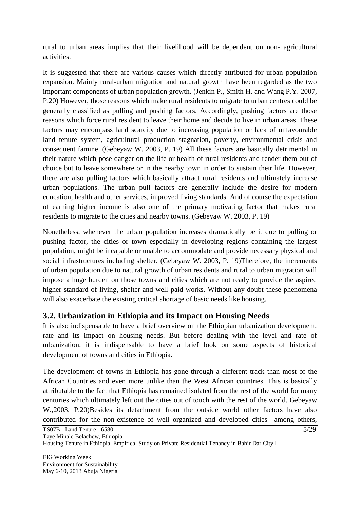rural to urban areas implies that their livelihood will be dependent on non- agricultural activities.

It is suggested that there are various causes which directly attributed for urban population expansion. Mainly rural-urban migration and natural growth have been regarded as the two important components of urban population growth. (Jenkin P., Smith H. and Wang P.Y. 2007, P.20) However, those reasons which make rural residents to migrate to urban centres could be generally classified as pulling and pushing factors. Accordingly, pushing factors are those reasons which force rural resident to leave their home and decide to live in urban areas. These factors may encompass land scarcity due to increasing population or lack of unfavourable land tenure system, agricultural production stagnation, poverty, environmental crisis and consequent famine. (Gebeyaw W. 2003, P. 19) All these factors are basically detrimental in their nature which pose danger on the life or health of rural residents and render them out of choice but to leave somewhere or in the nearby town in order to sustain their life. However, there are also pulling factors which basically attract rural residents and ultimately increase urban populations. The urban pull factors are generally include the desire for modern education, health and other services, improved living standards. And of course the expectation of earning higher income is also one of the primary motivating factor that makes rural residents to migrate to the cities and nearby towns. (Gebeyaw W. 2003, P. 19)

Nonetheless, whenever the urban population increases dramatically be it due to pulling or pushing factor, the cities or town especially in developing regions containing the largest population, might be incapable or unable to accommodate and provide necessary physical and social infrastructures including shelter. (Gebeyaw W. 2003, P. 19)Therefore, the increments of urban population due to natural growth of urban residents and rural to urban migration will impose a huge burden on those towns and cities which are not ready to provide the aspired higher standard of living, shelter and well paid works. Without any doubt these phenomena will also exacerbate the existing critical shortage of basic needs like housing.

## **3.2. Urbanization in Ethiopia and its Impact on Housing Needs**

It is also indispensable to have a brief overview on the Ethiopian urbanization development, rate and its impact on housing needs. But before dealing with the level and rate of urbanization, it is indispensable to have a brief look on some aspects of historical development of towns and cities in Ethiopia.

The development of towns in Ethiopia has gone through a different track than most of the African Countries and even more unlike than the West African countries. This is basically attributable to the fact that Ethiopia has remained isolated from the rest of the world for many centuries which ultimately left out the cities out of touch with the rest of the world. Gebeyaw W.,2003, P.20)Besides its detachment from the outside world other factors have also contributed for the non-existence of well organized and developed cities among others,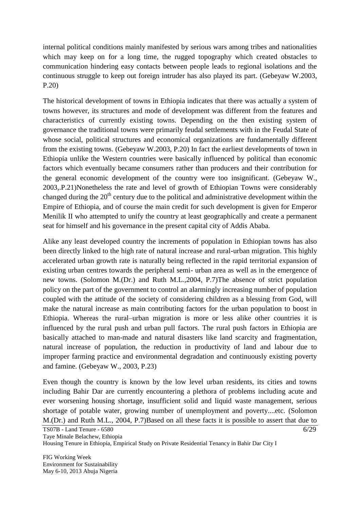internal political conditions mainly manifested by serious wars among tribes and nationalities which may keep on for a long time, the rugged topography which created obstacles to communication hindering easy contacts between people leads to regional isolations and the continuous struggle to keep out foreign intruder has also played its part. (Gebeyaw W.2003, P.20)

The historical development of towns in Ethiopia indicates that there was actually a system of towns however, its structures and mode of development was different from the features and characteristics of currently existing towns. Depending on the then existing system of governance the traditional towns were primarily feudal settlements with in the Feudal State of whose social, political structures and economical organizations are fundamentally different from the existing towns. (Gebeyaw W.2003, P.20) In fact the earliest developments of town in Ethiopia unlike the Western countries were basically influenced by political than economic factors which eventually became consumers rather than producers and their contribution for the general economic development of the country were too insignificant. (Gebeyaw W., 2003,.P.21)Nonetheless the rate and level of growth of Ethiopian Towns were considerably changed during the  $20<sup>th</sup>$  century due to the political and administrative development within the Empire of Ethiopia, and of course the main credit for such development is given for Emperor Menilik II who attempted to unify the country at least geographically and create a permanent seat for himself and his governance in the present capital city of Addis Ababa.

Alike any least developed country the increments of population in Ethiopian towns has also been directly linked to the high rate of natural increase and rural-urban migration. This highly accelerated urban growth rate is naturally being reflected in the rapid territorial expansion of existing urban centres towards the peripheral semi- urban area as well as in the emergence of new towns. (Solomon M.(Dr.) and Ruth M.L.,2004, P.7)The absence of strict population policy on the part of the government to control an alarmingly increasing number of population coupled with the attitude of the society of considering children as a blessing from God, will make the natural increase as main contributing factors for the urban population to boost in Ethiopia. Whereas the rural–urban migration is more or less alike other countries it is influenced by the rural push and urban pull factors. The rural push factors in Ethiopia are basically attached to man-made and natural disasters like land scarcity and fragmentation, natural increase of population, the reduction in productivity of land and labour due to improper farming practice and environmental degradation and continuously existing poverty and famine. (Gebeyaw W., 2003, P.23)

Even though the country is known by the low level urban residents, its cities and towns including Bahir Dar are currently encountering a plethora of problems including acute and ever worsening housing shortage, insufficient solid and liquid waste management, serious shortage of potable water, growing number of unemployment and poverty....etc. (Solomon M.(Dr.) and Ruth M.L., 2004, P.7)Based on all these facts it is possible to assert that due to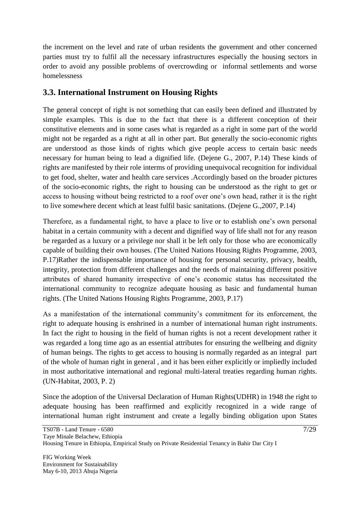the increment on the level and rate of urban residents the government and other concerned parties must try to fulfil all the necessary infrastructures especially the housing sectors in order to avoid any possible problems of overcrowding or informal settlements and worse homelessness

## **3.3. International Instrument on Housing Rights**

The general concept of right is not something that can easily been defined and illustrated by simple examples. This is due to the fact that there is a different conception of their constitutive elements and in some cases what is regarded as a right in some part of the world might not be regarded as a right at all in other part. But generally the socio-economic rights are understood as those kinds of rights which give people access to certain basic needs necessary for human being to lead a dignified life. (Dejene G., 2007, P.14) These kinds of rights are manifested by their role interms of providing unequivocal recognition for individual to get food, shelter, water and health care services .Accordingly based on the broader pictures of the socio-economic rights, the right to housing can be understood as the right to get or access to housing without being restricted to a roof over one"s own head, rather it is the right to live somewhere decent which at least fulfil basic sanitations. (Dejene G.,2007, P.14)

Therefore, as a fundamental right, to have a place to live or to establish one's own personal habitat in a certain community with a decent and dignified way of life shall not for any reason be regarded as a luxury or a privilege nor shall it be left only for those who are economically capable of building their own houses. (The United Nations Housing Rights Programme, 2003, P.17)Rather the indispensable importance of housing for personal security, privacy, health, integrity, protection from different challenges and the needs of maintaining different positive attributes of shared humanity irrespective of one"s economic status has necessitated the international community to recognize adequate housing as basic and fundamental human rights. (The United Nations Housing Rights Programme, 2003, P.17)

As a manifestation of the international community's commitment for its enforcement, the right to adequate housing is enshrined in a number of international human right instruments. In fact the right to housing in the field of human rights is not a recent development rather it was regarded a long time ago as an essential attributes for ensuring the wellbeing and dignity of human beings. The rights to get access to housing is normally regarded as an integral part of the whole of human right in general , and it has been either explicitly or impliedly included in most authoritative international and regional multi-lateral treaties regarding human rights. (UN-Habitat, 2003, P. 2)

Since the adoption of the Universal Declaration of Human Rights(UDHR) in 1948 the right to adequate housing has been reaffirmed and explicitly recognized in a wide range of international human right instrument and create a legally binding obligation upon States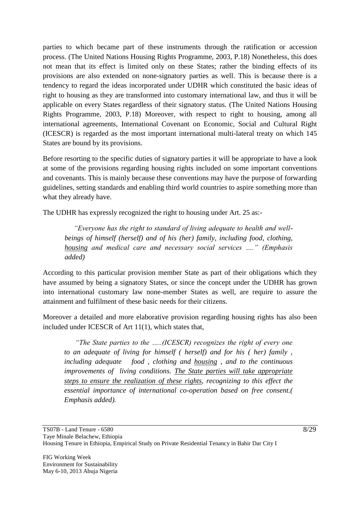parties to which became part of these instruments through the ratification or accession process. (The United Nations Housing Rights Programme, 2003, P.18) Nonetheless, this does not mean that its effect is limited only on these States; rather the binding effects of its provisions are also extended on none-signatory parties as well. This is because there is a tendency to regard the ideas incorporated under UDHR which constituted the basic ideas of right to housing as they are transformed into customary international law, and thus it will be applicable on every States regardless of their signatory status. (The United Nations Housing Rights Programme, 2003, P.18) Moreover, with respect to right to housing, among all international agreements, International Covenant on Economic, Social and Cultural Right (ICESCR) is regarded as the most important international multi-lateral treaty on which 145 States are bound by its provisions.

Before resorting to the specific duties of signatory parties it will be appropriate to have a look at some of the provisions regarding housing rights included on some important conventions and covenants. This is mainly because these conventions may have the purpose of forwarding guidelines, setting standards and enabling third world countries to aspire something more than what they already have.

The UDHR has expressly recognized the right to housing under Art. 25 as:-

 *"Everyone has the right to standard of living adequate to health and wellbeings of himself (herself) and of his (her) family, including food, clothing, housing and medical care and necessary social services …." (Emphasis added)*

According to this particular provision member State as part of their obligations which they have assumed by being a signatory States, or since the concept under the UDHR has grown into international customary law none-member States as well, are require to assure the attainment and fulfilment of these basic needs for their citizens.

Moreover a detailed and more elaborative provision regarding housing rights has also been included under ICESCR of Art 11(1), which states that,

 *"The State parties to the …..(ICESCR) recognizes the right of every one to an adequate of living for himself ( herself) and for his ( her) family , including adequate food , clothing and housing , and to the continuous improvements of living conditions. The State parties will take appropriate steps to ensure the realization of these rights, recognizing to this effect the essential importance of international co-operation based on free consent.( Emphasis added).*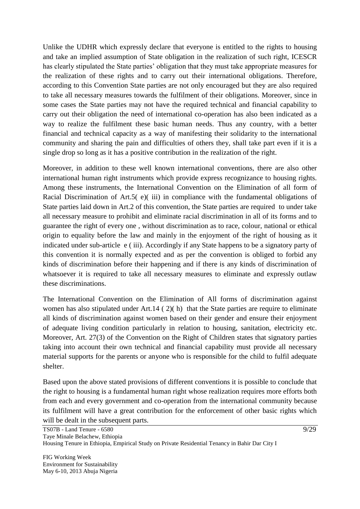Unlike the UDHR which expressly declare that everyone is entitled to the rights to housing and take an implied assumption of State obligation in the realization of such right, ICESCR has clearly stipulated the State parties' obligation that they must take appropriate measures for the realization of these rights and to carry out their international obligations. Therefore, according to this Convention State parties are not only encouraged but they are also required to take all necessary measures towards the fulfilment of their obligations. Moreover, since in some cases the State parties may not have the required technical and financial capability to carry out their obligation the need of international co-operation has also been indicated as a way to realize the fulfilment these basic human needs. Thus any country, with a better financial and technical capacity as a way of manifesting their solidarity to the international community and sharing the pain and difficulties of others they, shall take part even if it is a single drop so long as it has a positive contribution in the realization of the right.

Moreover, in addition to these well known international conventions, there are also other international human right instruments which provide express recognizance to housing rights. Among these instruments, the International Convention on the Elimination of all form of Racial Discrimination of Art.5( e)( iii) in compliance with the fundamental obligations of State parties laid down in Art.2 of this convention, the State parties are required to under take all necessary measure to prohibit and eliminate racial discrimination in all of its forms and to guarantee the right of every one , without discrimination as to race, colour, national or ethical origin to equality before the law and mainly in the enjoyment of the right of housing as it indicated under sub-article e ( iii). Accordingly if any State happens to be a signatory party of this convention it is normally expected and as per the convention is obliged to forbid any kinds of discrimination before their happening and if there is any kinds of discrimination of whatsoever it is required to take all necessary measures to eliminate and expressly outlaw these discriminations.

The International Convention on the Elimination of All forms of discrimination against women has also stipulated under Art.14 ( 2)( h) that the State parties are require to eliminate all kinds of discrimination against women based on their gender and ensure their enjoyment of adequate living condition particularly in relation to housing, sanitation, electricity etc. Moreover, Art. 27(3) of the Convention on the Right of Children states that signatory parties taking into account their own technical and financial capability must provide all necessary material supports for the parents or anyone who is responsible for the child to fulfil adequate shelter.

Based upon the above stated provisions of different conventions it is possible to conclude that the right to housing is a fundamental human right whose realization requires more efforts both from each and every government and co-operation from the international community because its fulfilment will have a great contribution for the enforcement of other basic rights which will be dealt in the subsequent parts.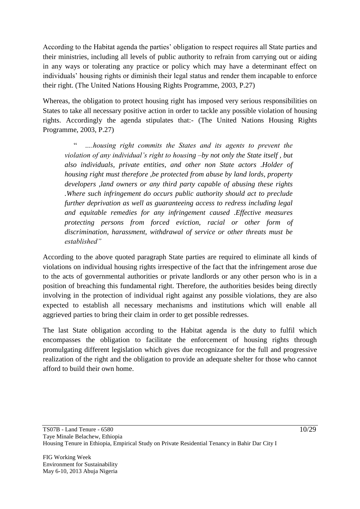According to the Habitat agenda the parties' obligation to respect requires all State parties and their ministries, including all levels of public authority to refrain from carrying out or aiding in any ways or tolerating any practice or policy which may have a determinant effect on individuals" housing rights or diminish their legal status and render them incapable to enforce their right. (The United Nations Housing Rights Programme, 2003, P.27)

Whereas, the obligation to protect housing right has imposed very serious responsibilities on States to take all necessary positive action in order to tackle any possible violation of housing rights. Accordingly the agenda stipulates that:- (The United Nations Housing Rights Programme, 2003, P.27)

 " *….housing right commits the States and its agents to prevent the violation of any individual's right to housing –by not only the State itself , but also individuals, private entities, and other non State actors .Holder of housing right must therefore ,be protected from abuse by land lords, property developers ,land owners or any third party capable of abusing these rights .Where such infringement do occurs public authority should act to preclude further deprivation as well as guaranteeing access to redress including legal and equitable remedies for any infringement caused .Effective measures protecting persons from forced eviction, racial or other form of discrimination, harassment, withdrawal of service or other threats must be established"*

According to the above quoted paragraph State parties are required to eliminate all kinds of violations on individual housing rights irrespective of the fact that the infringement arose due to the acts of governmental authorities or private landlords or any other person who is in a position of breaching this fundamental right. Therefore, the authorities besides being directly involving in the protection of individual right against any possible violations, they are also expected to establish all necessary mechanisms and institutions which will enable all aggrieved parties to bring their claim in order to get possible redresses.

The last State obligation according to the Habitat agenda is the duty to fulfil which encompasses the obligation to facilitate the enforcement of housing rights through promulgating different legislation which gives due recognizance for the full and progressive realization of the right and the obligation to provide an adequate shelter for those who cannot afford to build their own home.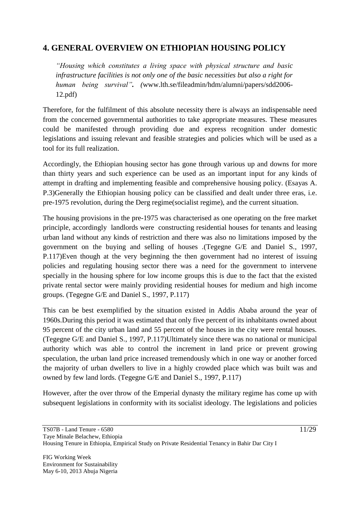## **4. GENERAL OVERVIEW ON ETHIOPIAN HOUSING POLICY**

*"Housing which constitutes a living space with physical structure and basic infrastructure facilities is not only one of the basic necessities but also a right for human being survival". (*www.lth.se/fileadmin/hdm/alumni/papers/sdd2006- 12.pdf)

Therefore, for the fulfilment of this absolute necessity there is always an indispensable need from the concerned governmental authorities to take appropriate measures. These measures could be manifested through providing due and express recognition under domestic legislations and issuing relevant and feasible strategies and policies which will be used as a tool for its full realization.

Accordingly, the Ethiopian housing sector has gone through various up and downs for more than thirty years and such experience can be used as an important input for any kinds of attempt in drafting and implementing feasible and comprehensive housing policy. (Esayas A. P.3)Generally the Ethiopian housing policy can be classified and dealt under three eras, i.e. pre-1975 revolution, during the Derg regime(socialist regime), and the current situation.

The housing provisions in the pre-1975 was characterised as one operating on the free market principle, accordingly landlords were constructing residential houses for tenants and leasing urban land without any kinds of restriction and there was also no limitations imposed by the government on the buying and selling of houses .(Tegegne G/E and Daniel S., 1997, P.117)Even though at the very beginning the then government had no interest of issuing policies and regulating housing sector there was a need for the government to intervene specially in the housing sphere for low income groups this is due to the fact that the existed private rental sector were mainly providing residential houses for medium and high income groups. (Tegegne G/E and Daniel S., 1997, P.117)

This can be best exemplified by the situation existed in Addis Ababa around the year of 1960s.During this period it was estimated that only five percent of its inhabitants owned about 95 percent of the city urban land and 55 percent of the houses in the city were rental houses. (Tegegne G/E and Daniel S., 1997, P.117)Ultimately since there was no national or municipal authority which was able to control the increment in land price or prevent growing speculation, the urban land price increased tremendously which in one way or another forced the majority of urban dwellers to live in a highly crowded place which was built was and owned by few land lords. (Tegegne G/E and Daniel S., 1997, P.117)

However, after the over throw of the Emperial dynasty the military regime has come up with subsequent legislations in conformity with its socialist ideology. The legislations and policies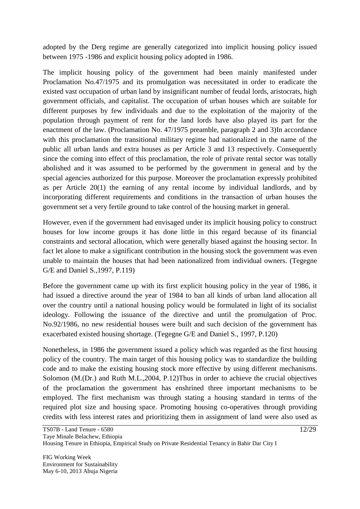adopted by the Derg regime are generally categorized into implicit housing policy issued between 1975 -1986 and explicit housing policy adopted in 1986.

The implicit housing policy of the government had been mainly manifested under Proclamation No.47/1975 and its promulgation was necessitated in order to eradicate the existed vast occupation of urban land by insignificant number of feudal lords, aristocrats, high government officials, and capitalist. The occupation of urban houses which are suitable for different purposes by few individuals and due to the exploitation of the majority of the population through payment of rent for the land lords have also played its part for the enactment of the law. (Proclamation No. 47/1975 preamble, paragraph 2 and 3)In accordance with this proclamation the transitional military regime had nationalized in the name of the public all urban lands and extra houses as per Article 3 and 13 respectively. Consequently since the coming into effect of this proclamation, the role of private rental sector was totally abolished and it was assumed to be performed by the government in general and by the special agencies authorized for this purpose. Moreover the proclamation expressly prohibited as per Article 20(1) the earning of any rental income by individual landlords, and by incorporating different requirements and conditions in the transaction of urban houses the government set a very fertile ground to take control of the housing market in general.

However, even if the government had envisaged under its implicit housing policy to construct houses for low income groups it has done little in this regard because of its financial constraints and sectoral allocation, which were generally biased against the housing sector. In fact let alone to make a significant contribution in the housing stock the government was even unable to maintain the houses that had been nationalized from individual owners. (Tegegne G/E and Daniel S.,1997, P.119)

Before the government came up with its first explicit housing policy in the year of 1986, it had issued a directive around the year of 1984 to ban all kinds of urban land allocation all over the country until a national housing policy would be formulated in light of its socialist ideology. Following the issuance of the directive and until the promulgation of Proc. No.92/1986, no new residential houses were built and such decision of the government has exacerbated existed housing shortage. (Tegegne G/E and Daniel S., 1997, P.120)

Nonetheless, in 1986 the government issued a policy which was regarded as the first housing policy of the country. The main target of this housing policy was to standardize the building code and to make the existing housing stock more effective by using different mechanisms. Solomon (M.(Dr.) and Ruth M.L.,2004, P.12)Thus in order to achieve the crucial objectives of the proclamation the government has enshrined three important mechanisms to be employed. The first mechanism was through stating a housing standard in terms of the required plot size and housing space. Promoting housing co-operatives through providing credits with less interest rates and prioritizing them in assignment of land were also used as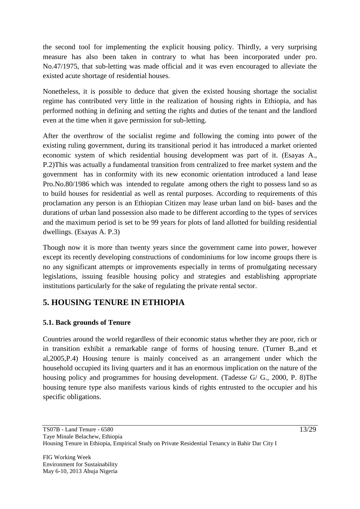the second tool for implementing the explicit housing policy. Thirdly, a very surprising measure has also been taken in contrary to what has been incorporated under pro. No.47/1975, that sub-letting was made official and it was even encouraged to alleviate the existed acute shortage of residential houses.

Nonetheless, it is possible to deduce that given the existed housing shortage the socialist regime has contributed very little in the realization of housing rights in Ethiopia, and has performed nothing in defining and setting the rights and duties of the tenant and the landlord even at the time when it gave permission for sub-letting.

After the overthrow of the socialist regime and following the coming into power of the existing ruling government, during its transitional period it has introduced a market oriented economic system of which residential housing development was part of it. (Esayas A., P.2)This was actually a fundamental transition from centralized to free market system and the government has in conformity with its new economic orientation introduced a land lease Pro.No.80/1986 which was intended to regulate among others the right to possess land so as to build houses for residential as well as rental purposes. According to requirements of this proclamation any person is an Ethiopian Citizen may lease urban land on bid- bases and the durations of urban land possession also made to be different according to the types of services and the maximum period is set to be 99 years for plots of land allotted for building residential dwellings. (Esayas A. P.3)

Though now it is more than twenty years since the government came into power, however except its recently developing constructions of condominiums for low income groups there is no any significant attempts or improvements especially in terms of promulgating necessary legislations, issuing feasible housing policy and strategies and establishing appropriate institutions particularly for the sake of regulating the private rental sector.

## **5. HOUSING TENURE IN ETHIOPIA**

## **5.1. Back grounds of Tenure**

Countries around the world regardless of their economic status whether they are poor, rich or in transition exhibit a remarkable range of forms of housing tenure. (Turner B.,and et al,2005,P.4) Housing tenure is mainly conceived as an arrangement under which the household occupied its living quarters and it has an enormous implication on the nature of the housing policy and programmes for housing development. (Tadesse G/ G., 2000, P. 8)The housing tenure type also manifests various kinds of rights entrusted to the occupier and his specific obligations.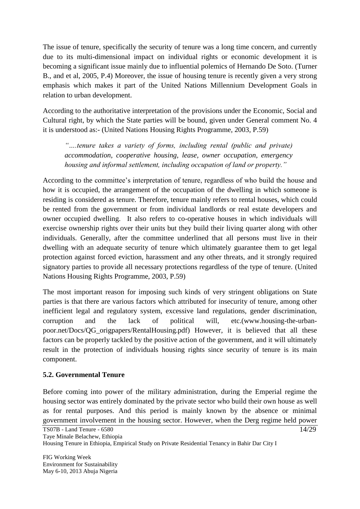The issue of tenure, specifically the security of tenure was a long time concern, and currently due to its multi-dimensional impact on individual rights or economic development it is becoming a significant issue mainly due to influential polemics of Hernando De Soto. (Turner B., and et al, 2005, P.4) Moreover, the issue of housing tenure is recently given a very strong emphasis which makes it part of the United Nations Millennium Development Goals in relation to urban development.

According to the authoritative interpretation of the provisions under the Economic, Social and Cultural right, by which the State parties will be bound, given under General comment No. 4 it is understood as:- (United Nations Housing Rights Programme, 2003, P.59)

*"….tenure takes a variety of forms, including rental (public and private) accommodation, cooperative housing, lease, owner occupation, emergency housing and informal settlement, including occupation of land or property."*

According to the committee's interpretation of tenure, regardless of who build the house and how it is occupied, the arrangement of the occupation of the dwelling in which someone is residing is considered as tenure. Therefore, tenure mainly refers to rental houses, which could be rented from the government or from individual landlords or real estate developers and owner occupied dwelling. It also refers to co-operative houses in which individuals will exercise ownership rights over their units but they build their living quarter along with other individuals. Generally, after the committee underlined that all persons must live in their dwelling with an adequate security of tenure which ultimately guarantee them to get legal protection against forced eviction, harassment and any other threats, and it strongly required signatory parties to provide all necessary protections regardless of the type of tenure. (United Nations Housing Rights Programme, 2003, P.59)

The most important reason for imposing such kinds of very stringent obligations on State parties is that there are various factors which attributed for insecurity of tenure, among other inefficient legal and regulatory system, excessive land regulations, gender discrimination, corruption and the lack of political will, etc.(www.housing-the-urbanpoor.net/Docs/QG\_origpapers/RentalHousing.pdf) However, it is believed that all these factors can be properly tackled by the positive action of the government, and it will ultimately result in the protection of individuals housing rights since security of tenure is its main component.

### **5.2. Governmental Tenure**

Before coming into power of the military administration, during the Emperial regime the housing sector was entirely dominated by the private sector who build their own house as well as for rental purposes. And this period is mainly known by the absence or minimal government involvement in the housing sector. However, when the Derg regime held power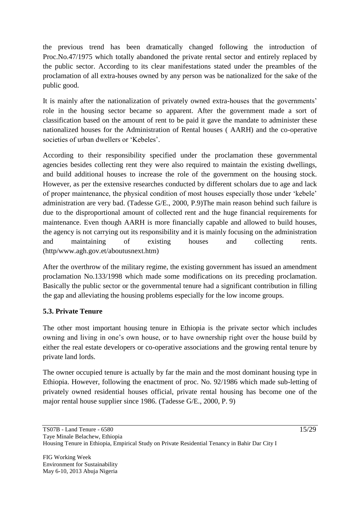the previous trend has been dramatically changed following the introduction of Proc.No.47/1975 which totally abandoned the private rental sector and entirely replaced by the public sector. According to its clear manifestations stated under the preambles of the proclamation of all extra-houses owned by any person was be nationalized for the sake of the public good.

It is mainly after the nationalization of privately owned extra-houses that the governments' role in the housing sector became so apparent. After the government made a sort of classification based on the amount of rent to be paid it gave the mandate to administer these nationalized houses for the Administration of Rental houses ( AARH) and the co-operative societies of urban dwellers or "Kebeles".

According to their responsibility specified under the proclamation these governmental agencies besides collecting rent they were also required to maintain the existing dwellings, and build additional houses to increase the role of the government on the housing stock. However, as per the extensive researches conducted by different scholars due to age and lack of proper maintenance, the physical condition of most houses especially those under "kebele" administration are very bad. (Tadesse G/E., 2000, P.9)The main reason behind such failure is due to the disproportional amount of collected rent and the huge financial requirements for maintenance. Even though AARH is more financially capable and allowed to build houses, the agency is not carrying out its responsibility and it is mainly focusing on the administration and maintaining of existing houses and collecting rents. (http/www.agh.gov.et/aboutusnext.htm)

After the overthrow of the military regime, the existing government has issued an amendment proclamation No.133/1998 which made some modifications on its preceding proclamation. Basically the public sector or the governmental tenure had a significant contribution in filling the gap and alleviating the housing problems especially for the low income groups.

## **5.3. Private Tenure**

The other most important housing tenure in Ethiopia is the private sector which includes owning and living in one"s own house, or to have ownership right over the house build by either the real estate developers or co-operative associations and the growing rental tenure by private land lords.

The owner occupied tenure is actually by far the main and the most dominant housing type in Ethiopia. However, following the enactment of proc. No. 92/1986 which made sub-letting of privately owned residential houses official, private rental housing has become one of the major rental house supplier since 1986. (Tadesse G/E., 2000, P. 9)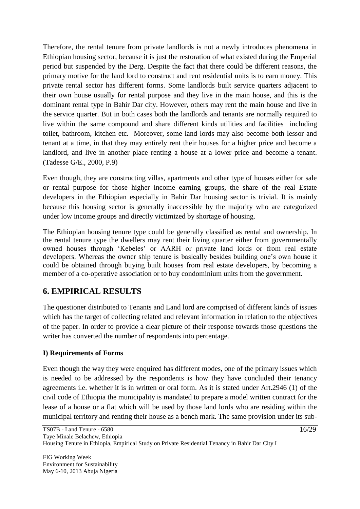Therefore, the rental tenure from private landlords is not a newly introduces phenomena in Ethiopian housing sector, because it is just the restoration of what existed during the Emperial period but suspended by the Derg. Despite the fact that there could be different reasons, the primary motive for the land lord to construct and rent residential units is to earn money. This private rental sector has different forms. Some landlords built service quarters adjacent to their own house usually for rental purpose and they live in the main house, and this is the dominant rental type in Bahir Dar city. However, others may rent the main house and live in the service quarter. But in both cases both the landlords and tenants are normally required to live within the same compound and share different kinds utilities and facilities including toilet, bathroom, kitchen etc. Moreover, some land lords may also become both lessor and tenant at a time, in that they may entirely rent their houses for a higher price and become a landlord, and live in another place renting a house at a lower price and become a tenant. (Tadesse G/E., 2000, P.9)

Even though, they are constructing villas, apartments and other type of houses either for sale or rental purpose for those higher income earning groups, the share of the real Estate developers in the Ethiopian especially in Bahir Dar housing sector is trivial. It is mainly because this housing sector is generally inaccessible by the majority who are categorized under low income groups and directly victimized by shortage of housing.

The Ethiopian housing tenure type could be generally classified as rental and ownership. In the rental tenure type the dwellers may rent their living quarter either from governmentally owned houses through "Kebeles" or AARH or private land lords or from real estate developers. Whereas the owner ship tenure is basically besides building one"s own house it could be obtained through buying built houses from real estate developers, by becoming a member of a co-operative association or to buy condominium units from the government.

## **6. EMPIRICAL RESULTS**

The questioner distributed to Tenants and Land lord are comprised of different kinds of issues which has the target of collecting related and relevant information in relation to the objectives of the paper. In order to provide a clear picture of their response towards those questions the writer has converted the number of respondents into percentage.

## **I) Requirements of Forms**

Even though the way they were enquired has different modes, one of the primary issues which is needed to be addressed by the respondents is how they have concluded their tenancy agreements i.e. whether it is in written or oral form. As it is stated under Art.2946 (1) of the civil code of Ethiopia the municipality is mandated to prepare a model written contract for the lease of a house or a flat which will be used by those land lords who are residing within the municipal territory and renting their house as a bench mark. The same provision under its sub-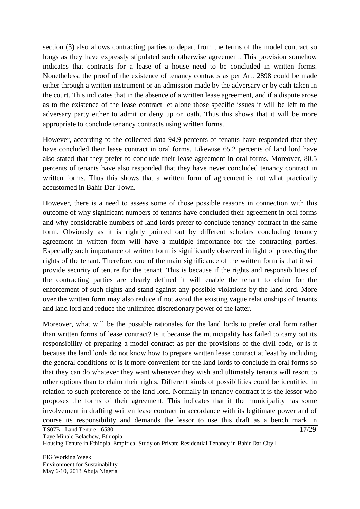section (3) also allows contracting parties to depart from the terms of the model contract so longs as they have expressly stipulated such otherwise agreement. This provision somehow indicates that contracts for a lease of a house need to be concluded in written forms. Nonetheless, the proof of the existence of tenancy contracts as per Art. 2898 could be made either through a written instrument or an admission made by the adversary or by oath taken in the court. This indicates that in the absence of a written lease agreement, and if a dispute arose as to the existence of the lease contract let alone those specific issues it will be left to the adversary party either to admit or deny up on oath. Thus this shows that it will be more appropriate to conclude tenancy contracts using written forms.

However, according to the collected data 94.9 percents of tenants have responded that they have concluded their lease contract in oral forms. Likewise 65.2 percents of land lord have also stated that they prefer to conclude their lease agreement in oral forms. Moreover, 80.5 percents of tenants have also responded that they have never concluded tenancy contract in written forms. Thus this shows that a written form of agreement is not what practically accustomed in Bahir Dar Town.

However, there is a need to assess some of those possible reasons in connection with this outcome of why significant numbers of tenants have concluded their agreement in oral forms and why considerable numbers of land lords prefer to conclude tenancy contract in the same form. Obviously as it is rightly pointed out by different scholars concluding tenancy agreement in written form will have a multiple importance for the contracting parties. Especially such importance of written form is significantly observed in light of protecting the rights of the tenant. Therefore, one of the main significance of the written form is that it will provide security of tenure for the tenant. This is because if the rights and responsibilities of the contracting parties are clearly defined it will enable the tenant to claim for the enforcement of such rights and stand against any possible violations by the land lord. More over the written form may also reduce if not avoid the existing vague relationships of tenants and land lord and reduce the unlimited discretionary power of the latter.

Moreover, what will be the possible rationales for the land lords to prefer oral form rather than written forms of lease contract? Is it because the municipality has failed to carry out its responsibility of preparing a model contract as per the provisions of the civil code, or is it because the land lords do not know how to prepare written lease contract at least by including the general conditions or is it more convenient for the land lords to conclude in oral forms so that they can do whatever they want whenever they wish and ultimately tenants will resort to other options than to claim their rights. Different kinds of possibilities could be identified in relation to such preference of the land lord. Normally in tenancy contract it is the lessor who proposes the forms of their agreement. This indicates that if the municipality has some involvement in drafting written lease contract in accordance with its legitimate power and of course its responsibility and demands the lessor to use this draft as a bench mark in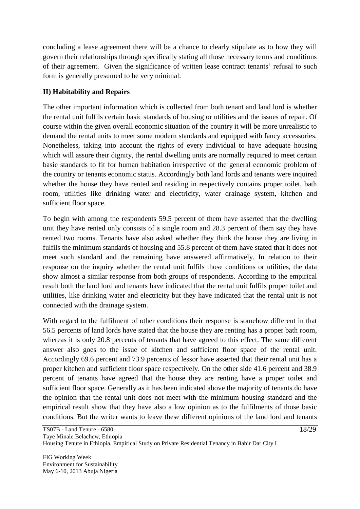concluding a lease agreement there will be a chance to clearly stipulate as to how they will govern their relationships through specifically stating all those necessary terms and conditions of their agreement. Given the significance of written lease contract tenants" refusal to such form is generally presumed to be very minimal.

## **II) Habitability and Repairs**

The other important information which is collected from both tenant and land lord is whether the rental unit fulfils certain basic standards of housing or utilities and the issues of repair. Of course within the given overall economic situation of the country it will be more unrealistic to demand the rental units to meet some modern standards and equipped with fancy accessories. Nonetheless, taking into account the rights of every individual to have adequate housing which will assure their dignity, the rental dwelling units are normally required to meet certain basic standards to fit for human habitation irrespective of the general economic problem of the country or tenants economic status. Accordingly both land lords and tenants were inquired whether the house they have rented and residing in respectively contains proper toilet, bath room, utilities like drinking water and electricity, water drainage system, kitchen and sufficient floor space.

To begin with among the respondents 59.5 percent of them have asserted that the dwelling unit they have rented only consists of a single room and 28.3 percent of them say they have rented two rooms. Tenants have also asked whether they think the house they are living in fulfils the minimum standards of housing and 55.8 percent of them have stated that it does not meet such standard and the remaining have answered affirmatively. In relation to their response on the inquiry whether the rental unit fulfils those conditions or utilities, the data show almost a similar response from both groups of respondents. According to the empirical result both the land lord and tenants have indicated that the rental unit fulfils proper toilet and utilities, like drinking water and electricity but they have indicated that the rental unit is not connected with the drainage system.

With regard to the fulfilment of other conditions their response is somehow different in that 56.5 percents of land lords have stated that the house they are renting has a proper bath room, whereas it is only 20.8 percents of tenants that have agreed to this effect. The same different answer also goes to the issue of kitchen and sufficient floor space of the rental unit. Accordingly 69.6 percent and 73.9 percents of lessor have asserted that their rental unit has a proper kitchen and sufficient floor space respectively. On the other side 41.6 percent and 38.9 percent of tenants have agreed that the house they are renting have a proper toilet and sufficient floor space. Generally as it has been indicated above the majority of tenants do have the opinion that the rental unit does not meet with the minimum housing standard and the empirical result show that they have also a low opinion as to the fulfilments of those basic conditions. But the writer wants to leave these different opinions of the land lord and tenants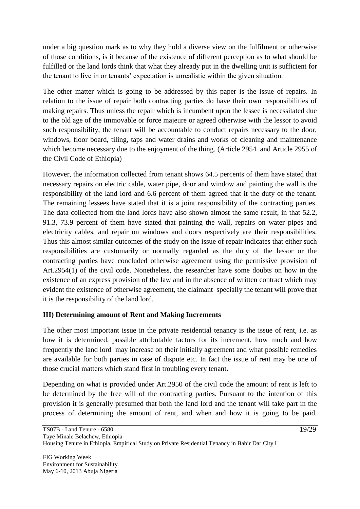under a big question mark as to why they hold a diverse view on the fulfilment or otherwise of those conditions, is it because of the existence of different perception as to what should be fulfilled or the land lords think that what they already put in the dwelling unit is sufficient for the tenant to live in or tenants" expectation is unrealistic within the given situation.

The other matter which is going to be addressed by this paper is the issue of repairs. In relation to the issue of repair both contracting parties do have their own responsibilities of making repairs. Thus unless the repair which is incumbent upon the lessee is necessitated due to the old age of the immovable or force majeure or agreed otherwise with the lessor to avoid such responsibility, the tenant will be accountable to conduct repairs necessary to the door, windows, floor board, tiling, taps and water drains and works of cleaning and maintenance which become necessary due to the enjoyment of the thing. (Article 2954 and Article 2955 of the Civil Code of Ethiopia)

However, the information collected from tenant shows 64.5 percents of them have stated that necessary repairs on electric cable, water pipe, door and window and painting the wall is the responsibility of the land lord and 6.6 percent of them agreed that it the duty of the tenant. The remaining lessees have stated that it is a joint responsibility of the contracting parties. The data collected from the land lords have also shown almost the same result, in that 52.2, 91.3, 73.9 percent of them have stated that painting the wall, repairs on water pipes and electricity cables, and repair on windows and doors respectively are their responsibilities. Thus this almost similar outcomes of the study on the issue of repair indicates that either such responsibilities are customarily or normally regarded as the duty of the lessor or the contracting parties have concluded otherwise agreement using the permissive provision of Art.2954(1) of the civil code. Nonetheless, the researcher have some doubts on how in the existence of an express provision of the law and in the absence of written contract which may evident the existence of otherwise agreement, the claimant specially the tenant will prove that it is the responsibility of the land lord.

## **III) Determining amount of Rent and Making Increments**

The other most important issue in the private residential tenancy is the issue of rent, i.e. as how it is determined, possible attributable factors for its increment, how much and how frequently the land lord may increase on their initially agreement and what possible remedies are available for both parties in case of dispute etc. In fact the issue of rent may be one of those crucial matters which stand first in troubling every tenant.

Depending on what is provided under Art.2950 of the civil code the amount of rent is left to be determined by the free will of the contracting parties. Pursuant to the intention of this provision it is generally presumed that both the land lord and the tenant will take part in the process of determining the amount of rent, and when and how it is going to be paid.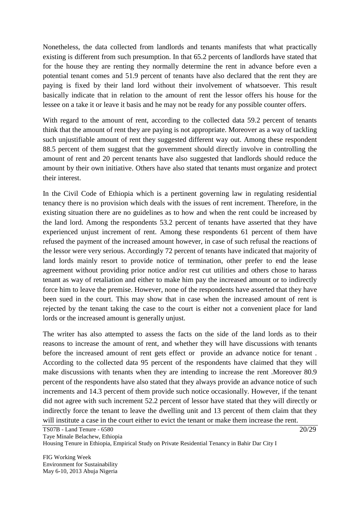Nonetheless, the data collected from landlords and tenants manifests that what practically existing is different from such presumption. In that 65.2 percents of landlords have stated that for the house they are renting they normally determine the rent in advance before even a potential tenant comes and 51.9 percent of tenants have also declared that the rent they are paying is fixed by their land lord without their involvement of whatsoever. This result basically indicate that in relation to the amount of rent the lessor offers his house for the lessee on a take it or leave it basis and he may not be ready for any possible counter offers.

With regard to the amount of rent, according to the collected data 59.2 percent of tenants think that the amount of rent they are paying is not appropriate. Moreover as a way of tackling such unjustifiable amount of rent they suggested different way out. Among these respondent 88.5 percent of them suggest that the government should directly involve in controlling the amount of rent and 20 percent tenants have also suggested that landlords should reduce the amount by their own initiative. Others have also stated that tenants must organize and protect their interest.

In the Civil Code of Ethiopia which is a pertinent governing law in regulating residential tenancy there is no provision which deals with the issues of rent increment. Therefore, in the existing situation there are no guidelines as to how and when the rent could be increased by the land lord. Among the respondents 53.2 percent of tenants have asserted that they have experienced unjust increment of rent. Among these respondents 61 percent of them have refused the payment of the increased amount however, in case of such refusal the reactions of the lessor were very serious. Accordingly 72 percent of tenants have indicated that majority of land lords mainly resort to provide notice of termination, other prefer to end the lease agreement without providing prior notice and/or rest cut utilities and others chose to harass tenant as way of retaliation and either to make him pay the increased amount or to indirectly force him to leave the premise. However, none of the respondents have asserted that they have been sued in the court. This may show that in case when the increased amount of rent is rejected by the tenant taking the case to the court is either not a convenient place for land lords or the increased amount is generally unjust.

The writer has also attempted to assess the facts on the side of the land lords as to their reasons to increase the amount of rent, and whether they will have discussions with tenants before the increased amount of rent gets effect or provide an advance notice for tenant . According to the collected data 95 percent of the respondents have claimed that they will make discussions with tenants when they are intending to increase the rent .Moreover 80.9 percent of the respondents have also stated that they always provide an advance notice of such increments and 14.3 percent of them provide such notice occasionally. However, if the tenant did not agree with such increment 52.2 percent of lessor have stated that they will directly or indirectly force the tenant to leave the dwelling unit and 13 percent of them claim that they will institute a case in the court either to evict the tenant or make them increase the rent.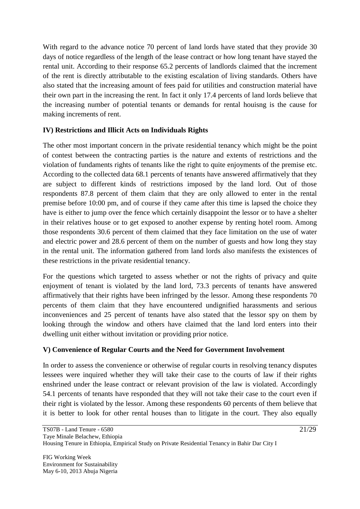With regard to the advance notice 70 percent of land lords have stated that they provide 30 days of notice regardless of the length of the lease contract or how long tenant have stayed the rental unit. According to their response 65.2 percents of landlords claimed that the increment of the rent is directly attributable to the existing escalation of living standards. Others have also stated that the increasing amount of fees paid for utilities and construction material have their own part in the increasing the rent. In fact it only 17.4 percents of land lords believe that the increasing number of potential tenants or demands for rental houisng is the cause for making increments of rent.

### **IV) Restrictions and Illicit Acts on Individuals Rights**

The other most important concern in the private residential tenancy which might be the point of contest between the contracting parties is the nature and extents of restrictions and the violation of fundaments rights of tenants like the right to quite enjoyments of the premise etc. According to the collected data 68.1 percents of tenants have answered affirmatively that they are subject to different kinds of restrictions imposed by the land lord. Out of those respondents 87.8 percent of them claim that they are only allowed to enter in the rental premise before 10:00 pm, and of course if they came after this time is lapsed the choice they have is either to jump over the fence which certainly disappoint the lessor or to have a shelter in their relatives house or to get exposed to another expense by renting hotel room. Among those respondents 30.6 percent of them claimed that they face limitation on the use of water and electric power and 28.6 percent of them on the number of guests and how long they stay in the rental unit. The information gathered from land lords also manifests the existences of these restrictions in the private residential tenancy.

For the questions which targeted to assess whether or not the rights of privacy and quite enjoyment of tenant is violated by the land lord, 73.3 percents of tenants have answered affirmatively that their rights have been infringed by the lessor. Among these respondents 70 percents of them claim that they have encountered undignified harassments and serious inconveniences and 25 percent of tenants have also stated that the lessor spy on them by looking through the window and others have claimed that the land lord enters into their dwelling unit either without invitation or providing prior notice.

## **V) Convenience of Regular Courts and the Need for Government Involvement**

In order to assess the convenience or otherwise of regular courts in resolving tenancy disputes lessees were inquired whether they will take their case to the courts of law if their rights enshrined under the lease contract or relevant provision of the law is violated. Accordingly 54.1 percents of tenants have responded that they will not take their case to the court even if their right is violated by the lessor. Among these respondents 60 percents of them believe that it is better to look for other rental houses than to litigate in the court. They also equally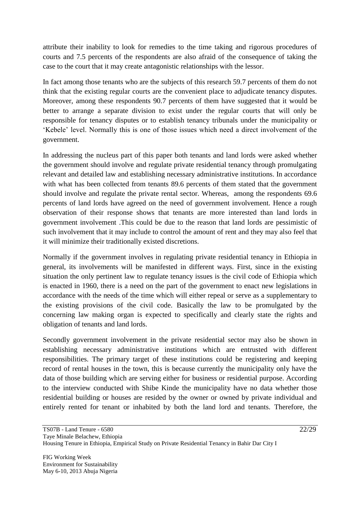attribute their inability to look for remedies to the time taking and rigorous procedures of courts and 7.5 percents of the respondents are also afraid of the consequence of taking the case to the court that it may create antagonistic relationships with the lessor.

In fact among those tenants who are the subjects of this research 59.7 percents of them do not think that the existing regular courts are the convenient place to adjudicate tenancy disputes. Moreover, among these respondents 90.7 percents of them have suggested that it would be better to arrange a separate division to exist under the regular courts that will only be responsible for tenancy disputes or to establish tenancy tribunals under the municipality or "Kebele" level. Normally this is one of those issues which need a direct involvement of the government.

In addressing the nucleus part of this paper both tenants and land lords were asked whether the government should involve and regulate private residential tenancy through promulgating relevant and detailed law and establishing necessary administrative institutions. In accordance with what has been collected from tenants 89.6 percents of them stated that the government should involve and regulate the private rental sector. Whereas, among the respondents 69.6 percents of land lords have agreed on the need of government involvement. Hence a rough observation of their response shows that tenants are more interested than land lords in government involvement .This could be due to the reason that land lords are pessimistic of such involvement that it may include to control the amount of rent and they may also feel that it will minimize their traditionally existed discretions.

Normally if the government involves in regulating private residential tenancy in Ethiopia in general, its involvements will be manifested in different ways. First, since in the existing situation the only pertinent law to regulate tenancy issues is the civil code of Ethiopia which is enacted in 1960, there is a need on the part of the government to enact new legislations in accordance with the needs of the time which will either repeal or serve as a supplementary to the existing provisions of the civil code. Basically the law to be promulgated by the concerning law making organ is expected to specifically and clearly state the rights and obligation of tenants and land lords.

Secondly government involvement in the private residential sector may also be shown in establishing necessary administrative institutions which are entrusted with different responsibilities. The primary target of these institutions could be registering and keeping record of rental houses in the town, this is because currently the municipality only have the data of those building which are serving either for business or residential purpose. According to the interview conducted with Shibe Kinde the municipality have no data whether those residential building or houses are resided by the owner or owned by private individual and entirely rented for tenant or inhabited by both the land lord and tenants. Therefore, the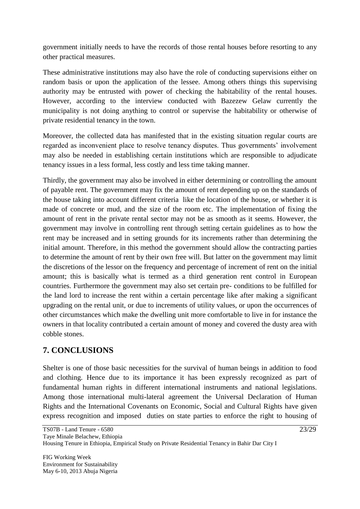government initially needs to have the records of those rental houses before resorting to any other practical measures.

These administrative institutions may also have the role of conducting supervisions either on random basis or upon the application of the lessee. Among others things this supervising authority may be entrusted with power of checking the habitability of the rental houses. However, according to the interview conducted with Bazezew Gelaw currently the municipality is not doing anything to control or supervise the habitability or otherwise of private residential tenancy in the town.

Moreover, the collected data has manifested that in the existing situation regular courts are regarded as inconvenient place to resolve tenancy disputes. Thus governments' involvement may also be needed in establishing certain institutions which are responsible to adjudicate tenancy issues in a less formal, less costly and less time taking manner.

Thirdly, the government may also be involved in either determining or controlling the amount of payable rent. The government may fix the amount of rent depending up on the standards of the house taking into account different criteria like the location of the house, or whether it is made of concrete or mud, and the size of the room etc. The implementation of fixing the amount of rent in the private rental sector may not be as smooth as it seems. However, the government may involve in controlling rent through setting certain guidelines as to how the rent may be increased and in setting grounds for its increments rather than determining the initial amount. Therefore, in this method the government should allow the contracting parties to determine the amount of rent by their own free will. But latter on the government may limit the discretions of the lessor on the frequency and percentage of increment of rent on the initial amount; this is basically what is termed as a third generation rent control in European countries. Furthermore the government may also set certain pre- conditions to be fulfilled for the land lord to increase the rent within a certain percentage like after making a significant upgrading on the rental unit, or due to increments of utility values, or upon the occurrences of other circumstances which make the dwelling unit more comfortable to live in for instance the owners in that locality contributed a certain amount of money and covered the dusty area with cobble stones.

## **7. CONCLUSIONS**

Shelter is one of those basic necessities for the survival of human beings in addition to food and clothing. Hence due to its importance it has been expressly recognized as part of fundamental human rights in different international instruments and national legislations. Among those international multi-lateral agreement the Universal Declaration of Human Rights and the International Covenants on Economic, Social and Cultural Rights have given express recognition and imposed duties on state parties to enforce the right to housing of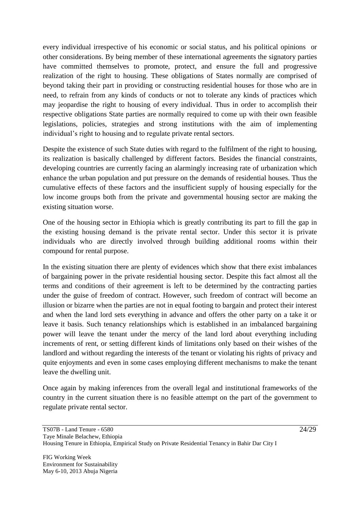every individual irrespective of his economic or social status, and his political opinions or other considerations. By being member of these international agreements the signatory parties have committed themselves to promote, protect, and ensure the full and progressive realization of the right to housing. These obligations of States normally are comprised of beyond taking their part in providing or constructing residential houses for those who are in need, to refrain from any kinds of conducts or not to tolerate any kinds of practices which may jeopardise the right to housing of every individual. Thus in order to accomplish their respective obligations State parties are normally required to come up with their own feasible legislations, policies, strategies and strong institutions with the aim of implementing individual"s right to housing and to regulate private rental sectors.

Despite the existence of such State duties with regard to the fulfilment of the right to housing, its realization is basically challenged by different factors. Besides the financial constraints, developing countries are currently facing an alarmingly increasing rate of urbanization which enhance the urban population and put pressure on the demands of residential houses. Thus the cumulative effects of these factors and the insufficient supply of housing especially for the low income groups both from the private and governmental housing sector are making the existing situation worse.

One of the housing sector in Ethiopia which is greatly contributing its part to fill the gap in the existing housing demand is the private rental sector. Under this sector it is private individuals who are directly involved through building additional rooms within their compound for rental purpose.

In the existing situation there are plenty of evidences which show that there exist imbalances of bargaining power in the private residential housing sector. Despite this fact almost all the terms and conditions of their agreement is left to be determined by the contracting parties under the guise of freedom of contract. However, such freedom of contract will become an illusion or bizarre when the parties are not in equal footing to bargain and protect their interest and when the land lord sets everything in advance and offers the other party on a take it or leave it basis. Such tenancy relationships which is established in an imbalanced bargaining power will leave the tenant under the mercy of the land lord about everything including increments of rent, or setting different kinds of limitations only based on their wishes of the landlord and without regarding the interests of the tenant or violating his rights of privacy and quite enjoyments and even in some cases employing different mechanisms to make the tenant leave the dwelling unit.

Once again by making inferences from the overall legal and institutional frameworks of the country in the current situation there is no feasible attempt on the part of the government to regulate private rental sector.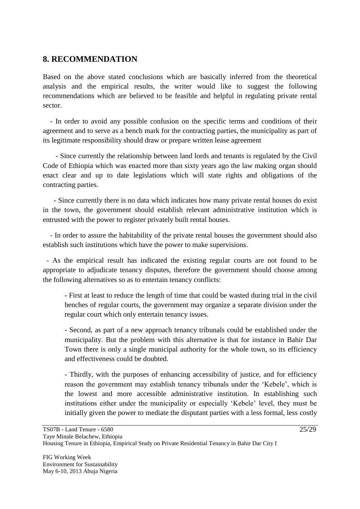## **8. RECOMMENDATION**

Based on the above stated conclusions which are basically inferred from the theoretical analysis and the empirical results, the writer would like to suggest the following recommendations which are believed to be feasible and helpful in regulating private rental sector.

 - In order to avoid any possible confusion on the specific terms and conditions of their agreement and to serve as a bench mark for the contracting parties, the municipality as part of its legitimate responsibility should draw or prepare written lease agreement

 - Since currently the relationship between land lords and tenants is regulated by the Civil Code of Ethiopia which was enacted more than sixty years ago the law making organ should enact clear and up to date legislations which will state rights and obligations of the contracting parties.

 - Since currently there is no data which indicates how many private rental houses do exist in the town, the government should establish relevant administrative institution which is entrusted with the power to register privately built rental houses.

 - In order to assure the habitability of the private rental houses the government should also establish such institutions which have the power to make supervisions.

 - As the empirical result has indicated the existing regular courts are not found to be appropriate to adjudicate tenancy disputes, therefore the government should choose among the following alternatives so as to entertain tenancy conflicts:

- First at least to reduce the length of time that could be wasted during trial in the civil benches of regular courts, the government may organize a separate division under the regular court which only entertain tenancy issues.

- Second, as part of a new approach tenancy tribunals could be established under the municipality. But the problem with this alternative is that for instance in Bahir Dar Town there is only a single municipal authority for the whole town, so its efficiency and effectiveness could be doubted.

- Thirdly, with the purposes of enhancing accessibility of justice, and for efficiency reason the government may establish tenancy tribunals under the "Kebele", which is the lowest and more accessible administrative institution. In establishing such institutions either under the municipality or especially "Kebele" level, they must be initially given the power to mediate the disputant parties with a less formal, less costly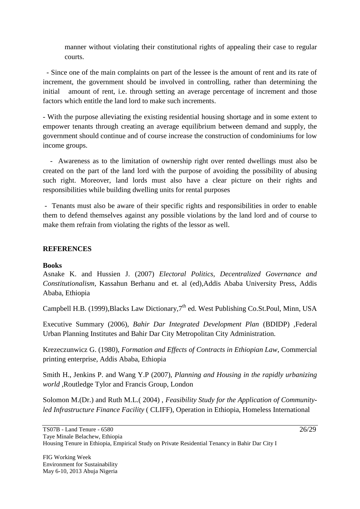manner without violating their constitutional rights of appealing their case to regular courts.

 - Since one of the main complaints on part of the lessee is the amount of rent and its rate of increment, the government should be involved in controlling, rather than determining the initial amount of rent, i.e. through setting an average percentage of increment and those factors which entitle the land lord to make such increments.

- With the purpose alleviating the existing residential housing shortage and in some extent to empower tenants through creating an average equilibrium between demand and supply, the government should continue and of course increase the construction of condominiums for low income groups.

 - Awareness as to the limitation of ownership right over rented dwellings must also be created on the part of the land lord with the purpose of avoiding the possibility of abusing such right. Moreover, land lords must also have a clear picture on their rights and responsibilities while building dwelling units for rental purposes

- Tenants must also be aware of their specific rights and responsibilities in order to enable them to defend themselves against any possible violations by the land lord and of course to make them refrain from violating the rights of the lessor as well.

### **REFERENCES**

#### **Books**

Asnake K. and Hussien J. (2007) *Electoral Politics, Decentralized Governance and Constitutionalism,* Kassahun Berhanu and et. al (ed),Addis Ababa University Press, Addis Ababa, Ethiopia

Campbell H.B. (1999), Blacks Law Dictionary, 7<sup>th</sup> ed. West Publishing Co.St.Poul, Minn, USA

Executive Summary (2006), *Bahir Dar Integrated Development Plan* (BDIDP) ,Federal Urban Planning Institutes and Bahir Dar City Metropolitan City Administration.

Krezeczunwicz G. (1980), *Formation and Effects of Contracts in Ethiopian Law*, Commercial printing enterprise, Addis Ababa, Ethiopia

Smith H., Jenkins P. and Wang Y.P (2007), *Planning and Housing in the rapidly urbanizing world* ,Routledge Tylor and Francis Group, London

Solomon M.(Dr.) and Ruth M.L.( 2004) , *Feasibility Study for the Application of Communityled Infrastructure Finance Facility* ( CLIFF), Operation in Ethiopia, Homeless International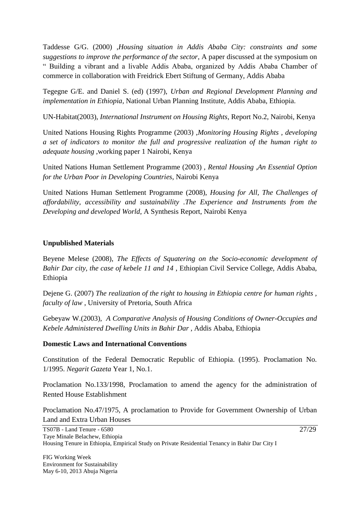Taddesse G/G. (2000) ,*Housing situation in Addis Ababa City: constraints and some suggestions to improve the performance of the sector*, A paper discussed at the symposium on " Building a vibrant and a livable Addis Ababa, organized by Addis Ababa Chamber of commerce in collaboration with Freidrick Ebert Stiftung of Germany, Addis Ababa

Tegegne G/E. and Daniel S. (ed) (1997), *Urban and Regional Development Planning and implementation in Ethiopia*, National Urban Planning Institute, Addis Ababa, Ethiopia.

UN-Habitat(2003), *International Instrument on Housing Rights*, Report No.2, Nairobi, Kenya

United Nations Housing Rights Programme (2003) ,*Monitoring Housing Rights , developing a set of indicators to monitor the full and progressive realization of the human right to adequate housing* ,working paper 1 Nairobi, Kenya

United Nations Human Settlement Programme (2003) , *Rental Housing ,An Essential Option for the Urban Poor in Developing Countries*, Nairobi Kenya

United Nations Human Settlement Programme (2008), *Housing for All, The Challenges of affordability, accessibility and sustainability .The Experience and Instruments from the Developing and developed World*, A Synthesis Report, Nairobi Kenya

#### **Unpublished Materials**

Beyene Melese (2008), *The Effects of Squatering on the Socio-economic development of Bahir Dar city, the case of kebele 11 and 14* , Ethiopian Civil Service College, Addis Ababa, Ethiopia

Dejene G. (2007) *The realization of the right to housing in Ethiopia centre for human rights , faculty of law* , University of Pretoria, South Africa

Gebeyaw W.(2003), *A Comparative Analysis of Housing Conditions of Owner-Occupies and Kebele Administered Dwelling Units in Bahir Dar* , Addis Ababa, Ethiopia

#### **Domestic Laws and International Conventions**

Constitution of the Federal Democratic Republic of Ethiopia. (1995). Proclamation No. 1/1995. *Negarit Gazeta* Year 1, No.1.

Proclamation No.133/1998, Proclamation to amend the agency for the administration of Rented House Establishment

Proclamation No.47/1975, A proclamation to Provide for Government Ownership of Urban Land and Extra Urban Houses

FIG Working Week Environment for Sustainability May 6-10, 2013 Abuja Nigeria 27/29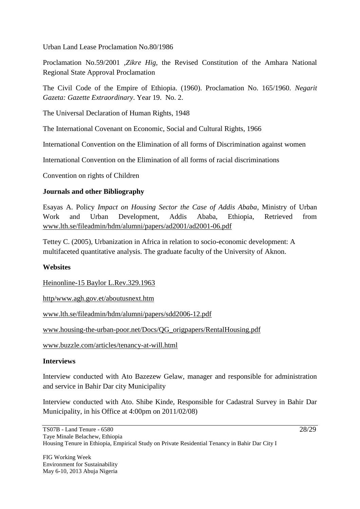Urban Land Lease Proclamation No.80/1986

Proclamation No.59/2001 ,*Zikre Hig,* the Revised Constitution of the Amhara National Regional State Approval Proclamation

The Civil Code of the Empire of Ethiopia. (1960). Proclamation No. 165/1960. *Negarit Gazeta: Gazette Extraordinary*. Year 19. No. 2.

The Universal Declaration of Human Rights, 1948

The International Covenant on Economic, Social and Cultural Rights, 1966

International Convention on the Elimination of all forms of Discrimination against women

International Convention on the Elimination of all forms of racial discriminations

Convention on rights of Children

#### **Journals and other Bibliography**

Esayas A. Policy *Impact on Housing Sector the Case of Addis Ababa*, Ministry of Urban Work and Urban Development, Addis Ababa, Ethiopia, Retrieved from [www.lth.se/fileadmin/hdm/alumni/papers/ad2001/ad2001-06.pdf](http://www.lth.se/fileadmin/hdm/alumni/papers/ad2001/ad2001-06.pdf)

Tettey C. (2005), Urbanization in Africa in relation to socio-economic development: A multifaceted quantitative analysis. The graduate faculty of the University of Aknon.

#### **Websites**

Heinonline-15 Baylor L.Rev.329.1963

http/www.agh.gov.et/aboutusnext.htm

[www.lth.se/fileadmin/hdm/alumni/papers/sdd2006-12.pdf](http://www.lth.se/fileadmin/hdm/alumni/papers/sdd2006-12.pdf)

[www.housing-the-urban-poor.net/Docs/QG\\_origpapers/RentalHousing.pdf](http://www.housing-the-urban-poor.net/Docs/QG_origpapers/RentalHousing.pdf)

www.buzzle.com/articles/tenancy-at-will.html

#### **Interviews**

Interview conducted with Ato Bazezew Gelaw, manager and responsible for administration and service in Bahir Dar city Municipality

Interview conducted with Ato. Shibe Kinde, Responsible for Cadastral Survey in Bahir Dar Municipality, in his Office at 4:00pm on 2011/02/08)